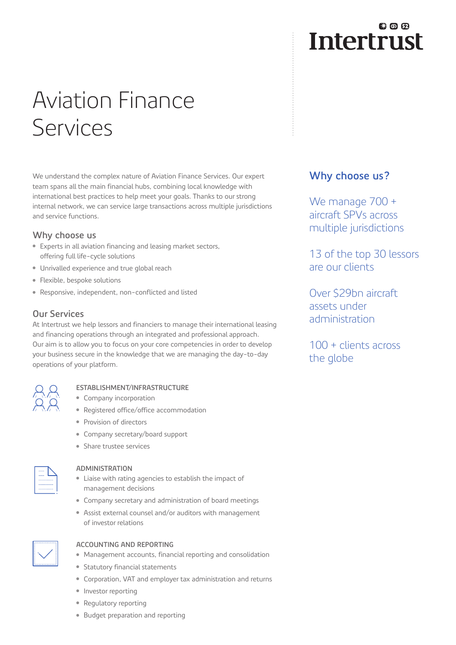# Aviation Finance Services

We understand the complex nature of Aviation Finance Services. Our expert team spans all the main financial hubs, combining local knowledge with international best practices to help meet your goals. Thanks to our strong internal network, we can service large transactions across multiple jurisdictions and service functions.

#### **Why choose us**

- Experts in all aviation financing and leasing market sectors, offering full life-cycle solutions
- Unrivalled experience and true global reach
- Flexible, bespoke solutions
- Responsive, independent, non-conflicted and listed

#### **Our Services**

At Intertrust we help lessors and financiers to manage their international leasing and financing operations through an integrated and professional approach. Our aim is to allow you to focus on your core competencies in order to develop your business secure in the knowledge that we are managing the day-to-day operations of your platform.



#### **ESTABLISHMENT/INFRASTRUCTURE**

- Company incorporation
- Registered office/office accommodation
- Provision of directors
- Company secretary/board support
- Share trustee services

| . |  |
|---|--|
|   |  |

#### **ADMINISTRATION**

- Liaise with rating agencies to establish the impact of management decisions
- Company secretary and administration of board meetings
- Assist external counsel and/or auditors with management of investor relations



#### **ACCOUNTING AND REPORTING**

- Management accounts, financial reporting and consolidation
- Statutory financial statements
- Corporation, VAT and employer tax administration and returns
- Investor reporting
- Regulatory reporting
- Budget preparation and reporting

# 我の田 **Intertrust**

### **Why choose us?**

We manage 700 + aircraft SPVs across multiple jurisdictions

13 of the top 30 lessors are our clients

Over \$29bn aircraft assets under administration

100 + clients across the globe